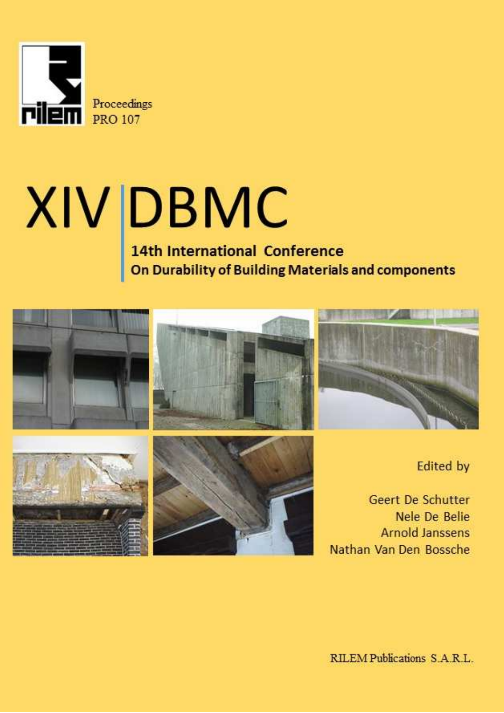

# $XIV$  DBMC<br>14th International Conference<br>On Durability of Building Materials and components

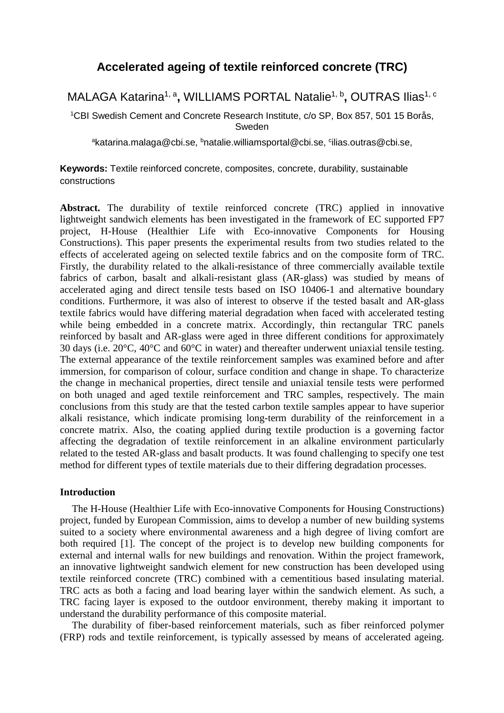# **Accelerated ageing of textile reinforced concrete (TRC)**

## MALAGA Katarina<sup>1, a</sup>, WILLIAMS PORTAL Natalie<sup>1, b</sup>, OUTRAS Ilias<sup>1, c</sup>

<sup>1</sup>CBI Swedish Cement and Concrete Research Institute, c/o SP, Box 857, 501 15 Borås, Sweden

<sup>a</sup>katarina.malaga@cbi.se, <sup>b</sup>natalie.williamsportal@cbi.se, <sup>c</sup>ilias.outras@cbi.se,

**Keywords:** Textile reinforced concrete, composites, concrete, durability, sustainable constructions

**Abstract.** The durability of textile reinforced concrete (TRC) applied in innovative lightweight sandwich elements has been investigated in the framework of EC supported FP7 project, H-House (Healthier Life with Eco-innovative Components for Housing Constructions). This paper presents the experimental results from two studies related to the effects of accelerated ageing on selected textile fabrics and on the composite form of TRC. Firstly, the durability related to the alkali-resistance of three commercially available textile fabrics of carbon, basalt and alkali-resistant glass (AR-glass) was studied by means of accelerated aging and direct tensile tests based on ISO 10406-1 and alternative boundary conditions. Furthermore, it was also of interest to observe if the tested basalt and AR-glass textile fabrics would have differing material degradation when faced with accelerated testing while being embedded in a concrete matrix. Accordingly, thin rectangular TRC panels reinforced by basalt and AR-glass were aged in three different conditions for approximately 30 days (i.e. 20°C, 40°C and 60°C in water) and thereafter underwent uniaxial tensile testing. The external appearance of the textile reinforcement samples was examined before and after immersion, for comparison of colour, surface condition and change in shape. To characterize the change in mechanical properties, direct tensile and uniaxial tensile tests were performed on both unaged and aged textile reinforcement and TRC samples, respectively. The main conclusions from this study are that the tested carbon textile samples appear to have superior alkali resistance, which indicate promising long-term durability of the reinforcement in a concrete matrix. Also, the coating applied during textile production is a governing factor affecting the degradation of textile reinforcement in an alkaline environment particularly related to the tested AR-glass and basalt products. It was found challenging to specify one test method for different types of textile materials due to their differing degradation processes.

### **Introduction**

The H-House (Healthier Life with Eco-innovative Components for Housing Constructions) project, funded by European Commission, aims to develop a number of new building systems suited to a society where environmental awareness and a high degree of living comfort are both required [1]. The concept of the project is to develop new building components for external and internal walls for new buildings and renovation. Within the project framework, an innovative lightweight sandwich element for new construction has been developed using textile reinforced concrete (TRC) combined with a cementitious based insulating material. TRC acts as both a facing and load bearing layer within the sandwich element. As such, a TRC facing layer is exposed to the outdoor environment, thereby making it important to understand the durability performance of this composite material.

The durability of fiber-based reinforcement materials, such as fiber reinforced polymer (FRP) rods and textile reinforcement, is typically assessed by means of accelerated ageing.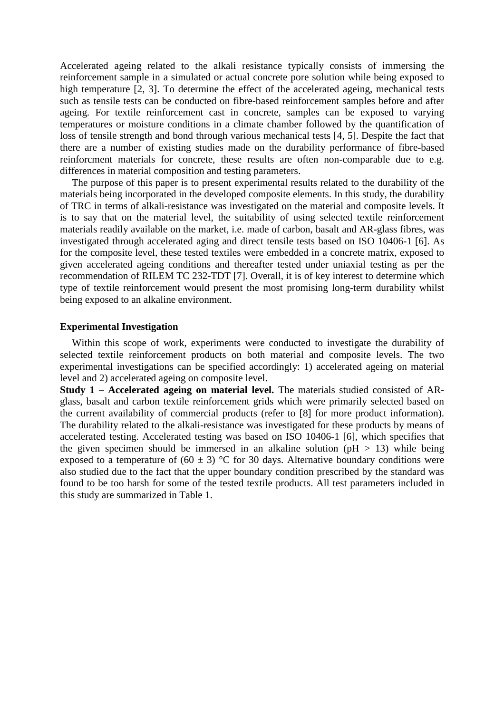Accelerated ageing related to the alkali resistance typically consists of immersing the reinforcement sample in a simulated or actual concrete pore solution while being exposed to high temperature [2, 3]. To determine the effect of the accelerated ageing, mechanical tests such as tensile tests can be conducted on fibre-based reinforcement samples before and after ageing. For textile reinforcement cast in concrete, samples can be exposed to varying temperatures or moisture conditions in a climate chamber followed by the quantification of loss of tensile strength and bond through various mechanical tests [4, 5]. Despite the fact that there are a number of existing studies made on the durability performance of fibre-based reinforcment materials for concrete, these results are often non-comparable due to e.g. differences in material composition and testing parameters.

The purpose of this paper is to present experimental results related to the durability of the materials being incorporated in the developed composite elements. In this study, the durability of TRC in terms of alkali-resistance was investigated on the material and composite levels. It is to say that on the material level, the suitability of using selected textile reinforcement materials readily available on the market, i.e. made of carbon, basalt and AR-glass fibres, was investigated through accelerated aging and direct tensile tests based on ISO 10406-1 [6]. As for the composite level, these tested textiles were embedded in a concrete matrix, exposed to given accelerated ageing conditions and thereafter tested under uniaxial testing as per the recommendation of RILEM TC 232-TDT [7]. Overall, it is of key interest to determine which type of textile reinforcement would present the most promising long-term durability whilst being exposed to an alkaline environment.

### **Experimental Investigation**

Within this scope of work, experiments were conducted to investigate the durability of selected textile reinforcement products on both material and composite levels. The two experimental investigations can be specified accordingly: 1) accelerated ageing on material level and 2) accelerated ageing on composite level.

**Study 1 – Accelerated ageing on material level.** The materials studied consisted of ARglass, basalt and carbon textile reinforcement grids which were primarily selected based on the current availability of commercial products (refer to [8] for more product information). The durability related to the alkali-resistance was investigated for these products by means of accelerated testing. Accelerated testing was based on ISO 10406-1 [6], which specifies that the given specimen should be immersed in an alkaline solution ( $pH > 13$ ) while being exposed to a temperature of  $(60 \pm 3)$  °C for 30 days. Alternative boundary conditions were also studied due to the fact that the upper boundary condition prescribed by the standard was found to be too harsh for some of the tested textile products. All test parameters included in this study are summarized in Table 1.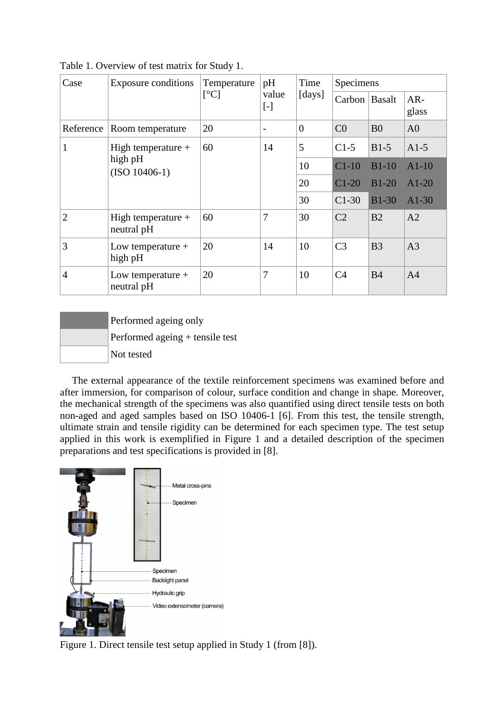| Case           | <b>Exposure conditions</b>                         | Temperature<br>$\lceil$ <sup>o</sup> Cl | pH<br>value<br>$[\![ \text{-} ]\!]$ | Time<br>[days] | Specimens      |                |                |
|----------------|----------------------------------------------------|-----------------------------------------|-------------------------------------|----------------|----------------|----------------|----------------|
|                |                                                    |                                         |                                     |                | Carbon Basalt  |                | $AR-$<br>glass |
| Reference      | Room temperature                                   | 20                                      | $\overline{\phantom{0}}$            | $\theta$       | C <sub>0</sub> | B <sub>0</sub> | A <sub>0</sub> |
|                | High temperature $+$<br>high pH<br>$(ISO 10406-1)$ | 60                                      | 14                                  | 5              | $C1-5$         | $B1-5$         | $A1-5$         |
|                |                                                    |                                         |                                     | 10             | $C1-10$        | $B1-10$        | $A1-10$        |
|                |                                                    |                                         |                                     | 20             | $C1-20$        | $B1-20$        | $A1-20$        |
|                |                                                    |                                         |                                     | 30             | $C1-30$        | <b>B1-30</b>   | $A1-30$        |
| $\overline{2}$ | High temperature $+$<br>neutral pH                 | 60                                      | 7                                   | 30             | C <sub>2</sub> | B <sub>2</sub> | A2             |
| 3              | Low temperature $+$<br>high pH                     | 20                                      | 14                                  | 10             | C <sub>3</sub> | B <sub>3</sub> | A <sub>3</sub> |
| $\overline{4}$ | Low temperature $+$<br>neutral pH                  | 20                                      | 7                                   | 10             | C <sub>4</sub> | <b>B4</b>      | A <sub>4</sub> |

Table 1. Overview of test matrix for Study 1.

 Performed ageing only Performed ageing + tensile test Not tested

The external appearance of the textile reinforcement specimens was examined before and after immersion, for comparison of colour, surface condition and change in shape. Moreover, the mechanical strength of the specimens was also quantified using direct tensile tests on both non-aged and aged samples based on ISO 10406-1 [6]. From this test, the tensile strength, ultimate strain and tensile rigidity can be determined for each specimen type. The test setup applied in this work is exemplified in Figure 1 and a detailed description of the specimen preparations and test specifications is provided in [8].



Figure 1. Direct tensile test setup applied in Study 1 (from [8]).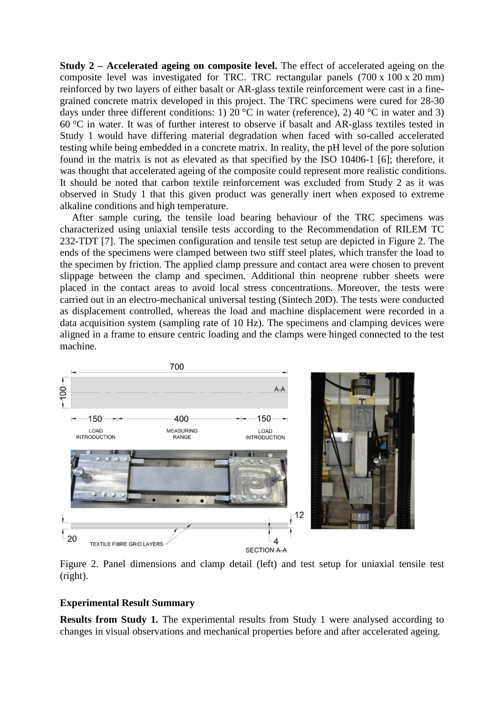**Study 2 – Accelerated ageing on composite level.** The effect of accelerated ageing on the composite level was investigated for TRC. TRC rectangular panels (700 x 100 x 20 mm) reinforced by two layers of either basalt or AR-glass textile reinforcement were cast in a finegrained concrete matrix developed in this project. The TRC specimens were cured for 28-30 days under three different conditions: 1) 20 °C in water (reference), 2) 40 °C in water and 3)  $60^{\circ}$ C in water. It was of further interest to observe if basalt and AR-glass textiles tested in Study 1 would have differing material degradation when faced with so-called accelerated testing while being embedded in a concrete matrix. In reality, the pH level of the pore solution found in the matrix is not as elevated as that specified by the ISO 10406-1 [6]; therefore, it was thought that accelerated ageing of the composite could represent more realistic conditions. It should be noted that carbon textile reinforcement was excluded from Study 2 as it was observed in Study 1 that this given product was generally inert when exposed to extreme alkaline conditions and high temperature.

After sample curing, the tensile load bearing behaviour of the TRC specimens was characterized using uniaxial tensile tests according to the Recommendation of RILEM TC 232-TDT [7]. The specimen configuration and tensile test setup are depicted in Figure 2. The ends of the specimens were clamped between two stiff steel plates, which transfer the load to the specimen by friction. The applied clamp pressure and contact area were chosen to prevent slippage between the clamp and specimen. Additional thin neoprene rubber sheets were placed in the contact areas to avoid local stress concentrations. Moreover, the tests were carried out in an electro-mechanical universal testing (Sintech 20D). The tests were conducted as displacement controlled, whereas the load and machine displacement were recorded in a data acquisition system (sampling rate of 10 Hz). The specimens and clamping devices were aligned in a frame to ensure centric loading and the clamps were hinged connected to the test machine.



Figure 2. Panel dimensions and clamp detail (left) and test setup for uniaxial tensile test (right).

### **Experimental Result Summary**

**Results from Study 1.** The experimental results from Study 1 were analysed according to changes in visual observations and mechanical properties before and after accelerated ageing.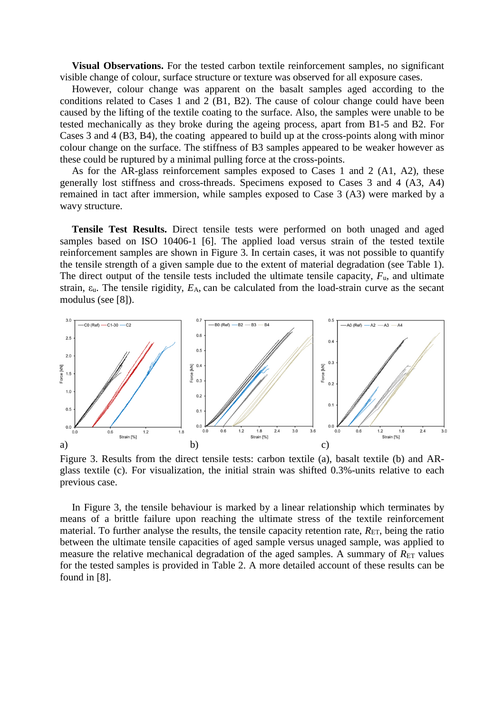**Visual Observations.** For the tested carbon textile reinforcement samples, no significant visible change of colour, surface structure or texture was observed for all exposure cases.

However, colour change was apparent on the basalt samples aged according to the conditions related to Cases 1 and 2 (B1, B2). The cause of colour change could have been caused by the lifting of the textile coating to the surface. Also, the samples were unable to be tested mechanically as they broke during the ageing process, apart from B1-5 and B2. For Cases 3 and 4 (B3, B4), the coating appeared to build up at the cross-points along with minor colour change on the surface. The stiffness of B3 samples appeared to be weaker however as these could be ruptured by a minimal pulling force at the cross-points.

As for the AR-glass reinforcement samples exposed to Cases 1 and 2 (A1, A2), these generally lost stiffness and cross-threads. Specimens exposed to Cases 3 and 4 (A3, A4) remained in tact after immersion, while samples exposed to Case 3 (A3) were marked by a wavy structure.

**Tensile Test Results.** Direct tensile tests were performed on both unaged and aged samples based on ISO 10406-1 [6]. The applied load versus strain of the tested textile reinforcement samples are shown in Figure 3. In certain cases, it was not possible to quantify the tensile strength of a given sample due to the extent of material degradation (see Table 1). The direct output of the tensile tests included the ultimate tensile capacity,  $F<sub>u</sub>$ , and ultimate strain, εu. The tensile rigidity, *E*A, can be calculated from the load-strain curve as the secant modulus (see [8]).



Figure 3. Results from the direct tensile tests: carbon textile (a), basalt textile (b) and ARglass textile (c). For visualization, the initial strain was shifted 0.3%-units relative to each previous case.

In Figure 3, the tensile behaviour is marked by a linear relationship which terminates by means of a brittle failure upon reaching the ultimate stress of the textile reinforcement material. To further analyse the results, the tensile capacity retention rate,  $R_{ET}$ , being the ratio between the ultimate tensile capacities of aged sample versus unaged sample, was applied to measure the relative mechanical degradation of the aged samples. A summary of  $R_{ET}$  values for the tested samples is provided in Table 2. A more detailed account of these results can be found in [8].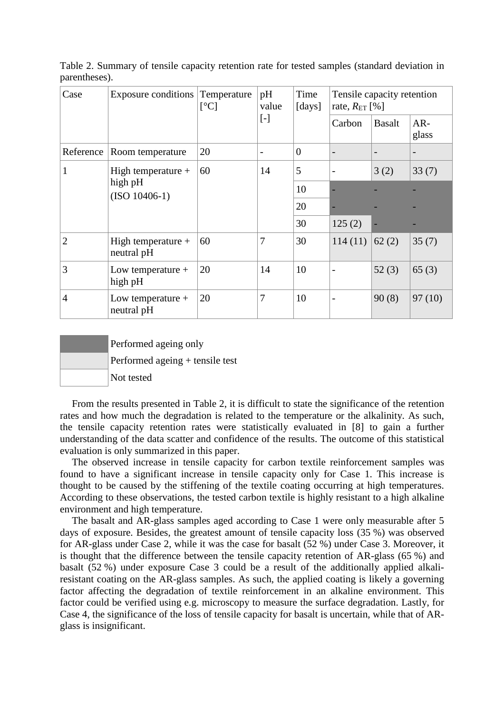| Case           | <b>Exposure conditions</b>                         | Temperature<br>[°C] | pH<br>value | Time<br>[days] | Tensile capacity retention<br>rate, $R_{ET}$ [%] |               |                |
|----------------|----------------------------------------------------|---------------------|-------------|----------------|--------------------------------------------------|---------------|----------------|
|                |                                                    |                     |             |                | Carbon                                           | <b>Basalt</b> | $AR-$<br>glass |
| Reference      | Room temperature                                   | 20                  |             | $\overline{0}$ |                                                  |               |                |
|                | High temperature $+$<br>high pH<br>$(ISO 10406-1)$ | 60                  | 14          | 5              |                                                  | 3(2)          | 33(7)          |
|                |                                                    |                     |             | 10             |                                                  |               |                |
|                |                                                    |                     |             | 20             |                                                  |               |                |
|                |                                                    |                     |             | 30             | 125(2)                                           |               |                |
| $\overline{2}$ | High temperature $+$<br>neutral pH                 | 60                  | 7           | 30             | 114(11)                                          | 62(2)         | 35(7)          |
| 3              | Low temperature $+$<br>high pH                     | 20                  | 14          | 10             | $\qquad \qquad$                                  | 52(3)         | 65(3)          |
| $\overline{4}$ | Low temperature $+$<br>neutral pH                  | 20                  | 7           | 10             | $\overline{\phantom{a}}$                         | 90(8)         | 97(10)         |

Table 2. Summary of tensile capacity retention rate for tested samples (standard deviation in parentheses).

 Performed ageing only Performed ageing + tensile test Not tested

From the results presented in Table 2, it is difficult to state the significance of the retention rates and how much the degradation is related to the temperature or the alkalinity. As such, the tensile capacity retention rates were statistically evaluated in [8] to gain a further understanding of the data scatter and confidence of the results. The outcome of this statistical evaluation is only summarized in this paper.

The observed increase in tensile capacity for carbon textile reinforcement samples was found to have a significant increase in tensile capacity only for Case 1. This increase is thought to be caused by the stiffening of the textile coating occurring at high temperatures. According to these observations, the tested carbon textile is highly resistant to a high alkaline environment and high temperature.

The basalt and AR-glass samples aged according to Case 1 were only measurable after 5 days of exposure. Besides, the greatest amount of tensile capacity loss (35 %) was observed for AR-glass under Case 2, while it was the case for basalt (52 %) under Case 3. Moreover, it is thought that the difference between the tensile capacity retention of AR-glass (65 %) and basalt (52 %) under exposure Case 3 could be a result of the additionally applied alkaliresistant coating on the AR-glass samples. As such, the applied coating is likely a governing factor affecting the degradation of textile reinforcement in an alkaline environment. This factor could be verified using e.g. microscopy to measure the surface degradation. Lastly, for Case 4, the significance of the loss of tensile capacity for basalt is uncertain, while that of ARglass is insignificant.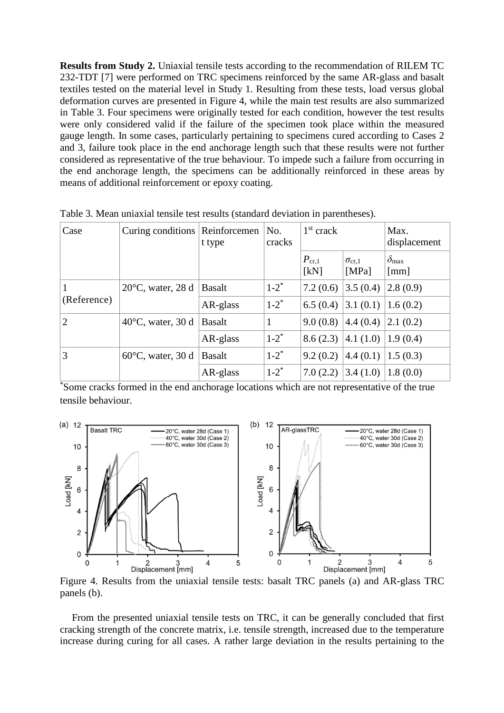**Results from Study 2.** Uniaxial tensile tests according to the recommendation of RILEM TC 232-TDT [7] were performed on TRC specimens reinforced by the same AR-glass and basalt textiles tested on the material level in Study 1. Resulting from these tests, load versus global deformation curves are presented in Figure 4, while the main test results are also summarized in Table 3. Four specimens were originally tested for each condition, however the test results were only considered valid if the failure of the specimen took place within the measured gauge length. In some cases, particularly pertaining to specimens cured according to Cases 2 and 3, failure took place in the end anchorage length such that these results were not further considered as representative of the true behaviour. To impede such a failure from occurring in the end anchorage length, the specimens can be additionally reinforced in these areas by means of additional reinforcement or epoxy coating.

| Case           | Curing conditions           | Reinforcemen<br>t type | No.<br>cracks      | $1st$ crack            |                          | Max.<br>displacement                     |  |
|----------------|-----------------------------|------------------------|--------------------|------------------------|--------------------------|------------------------------------------|--|
|                |                             |                        |                    | $P_{\rm cr,1}$<br>[kN] | $\sigma_{cr.1}$<br>[MPa] | $\delta_{\rm max}$<br>$\lceil mm \rceil$ |  |
|                | $20^{\circ}$ C, water, 28 d | <b>Basalt</b>          | $1 - 2^*$          | 7.2(0.6)               | 3.5(0.4)                 | 2.8(0.9)                                 |  |
| (Reference)    |                             | AR-glass               | $1-2$ <sup>*</sup> | 6.5(0.4)               | 3.1(0.1)                 | 1.6(0.2)                                 |  |
| $\overline{2}$ | $40^{\circ}$ C, water, 30 d | <b>Basalt</b>          | 1                  | 9.0(0.8)               | 4.4(0.4)                 | 2.1(0.2)                                 |  |
|                |                             | AR-glass               | $1 - 2^*$          | 8.6(2.3)               | 4.1(1.0)                 | (1.9(0.4))                               |  |
| 3              | $60^{\circ}$ C, water, 30 d | <b>Basalt</b>          | $1 - 2^*$          | 9.2(0.2)               | 4.4(0.1)                 | 1.5(0.3)                                 |  |
|                |                             | AR-glass               | $1-2$ <sup>*</sup> | 7.0(2.2)               | 3.4(1.0)                 | 1.8(0.0)                                 |  |

Table 3. Mean uniaxial tensile test results (standard deviation in parentheses).

\*Some cracks formed in the end anchorage locations which are not representative of the true tensile behaviour.



Figure 4. Results from the uniaxial tensile tests: basalt TRC panels (a) and AR-glass TRC panels (b).

From the presented uniaxial tensile tests on TRC, it can be generally concluded that first cracking strength of the concrete matrix, i.e. tensile strength, increased due to the temperature increase during curing for all cases. A rather large deviation in the results pertaining to the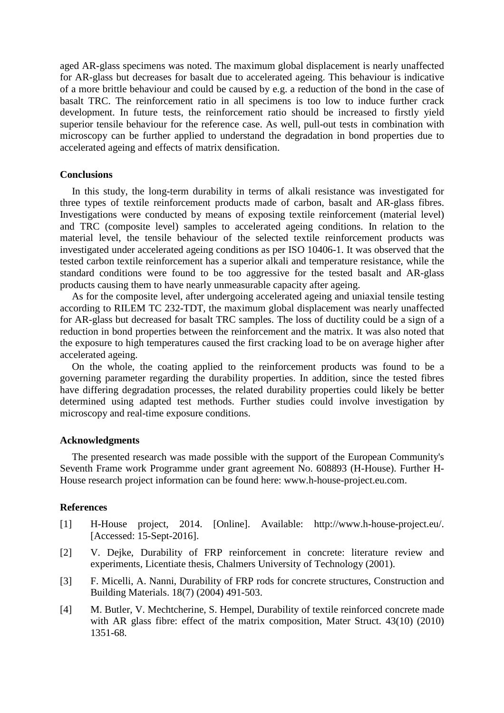aged AR-glass specimens was noted. The maximum global displacement is nearly unaffected for AR-glass but decreases for basalt due to accelerated ageing. This behaviour is indicative of a more brittle behaviour and could be caused by e.g. a reduction of the bond in the case of basalt TRC. The reinforcement ratio in all specimens is too low to induce further crack development. In future tests, the reinforcement ratio should be increased to firstly yield superior tensile behaviour for the reference case. As well, pull-out tests in combination with microscopy can be further applied to understand the degradation in bond properties due to accelerated ageing and effects of matrix densification.

### **Conclusions**

In this study, the long-term durability in terms of alkali resistance was investigated for three types of textile reinforcement products made of carbon, basalt and AR-glass fibres. Investigations were conducted by means of exposing textile reinforcement (material level) and TRC (composite level) samples to accelerated ageing conditions. In relation to the material level, the tensile behaviour of the selected textile reinforcement products was investigated under accelerated ageing conditions as per ISO 10406-1. It was observed that the tested carbon textile reinforcement has a superior alkali and temperature resistance, while the standard conditions were found to be too aggressive for the tested basalt and AR-glass products causing them to have nearly unmeasurable capacity after ageing.

As for the composite level, after undergoing accelerated ageing and uniaxial tensile testing according to RILEM TC 232-TDT, the maximum global displacement was nearly unaffected for AR-glass but decreased for basalt TRC samples. The loss of ductility could be a sign of a reduction in bond properties between the reinforcement and the matrix. It was also noted that the exposure to high temperatures caused the first cracking load to be on average higher after accelerated ageing.

On the whole, the coating applied to the reinforcement products was found to be a governing parameter regarding the durability properties. In addition, since the tested fibres have differing degradation processes, the related durability properties could likely be better determined using adapted test methods. Further studies could involve investigation by microscopy and real-time exposure conditions.

### **Acknowledgments**

The presented research was made possible with the support of the European Community's Seventh Frame work Programme under grant agreement No. 608893 (H-House). Further H-House research project information can be found here: www.h-house-project.eu.com.

### **References**

- [1] H-House project, 2014. [Online]. Available: http://www.h-house-project.eu/. [Accessed: 15-Sept-2016].
- [2] V. Dejke, Durability of FRP reinforcement in concrete: literature review and experiments, Licentiate thesis, Chalmers University of Technology (2001).
- [3] F. Micelli, A. Nanni, Durability of FRP rods for concrete structures, Construction and Building Materials. 18(7) (2004) 491-503.
- [4] M. Butler, V. Mechtcherine, S. Hempel, Durability of textile reinforced concrete made with AR glass fibre: effect of the matrix composition, Mater Struct. 43(10) (2010) 1351-68.